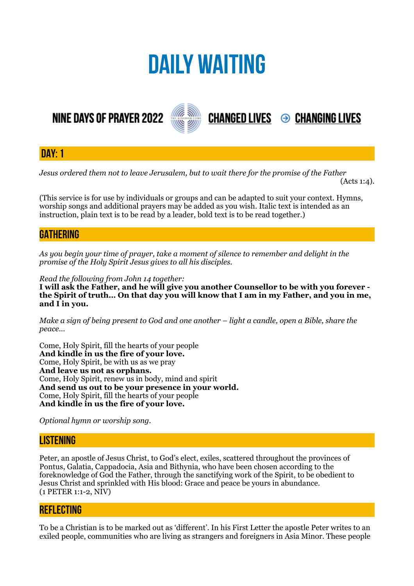# **DAILY WAITING**

**NINE DAYS OF PRAYER 2022** 



**DAY: 1**

*Jesus ordered them not to leave Jerusalem, but to wait there for the promise of the Father* 

 $(Acts 1:4)$ .

**CHANGED LIVES 
<sup>●</sup> CHANGING LIVES** 

(This service is for use by individuals or groups and can be adapted to suit your context. Hymns, worship songs and additional prayers may be added as you wish. Italic text is intended as an instruction, plain text is to be read by a leader, bold text is to be read together.)

# **GATHERING**

*As you begin your time of prayer, take a moment of silence to remember and delight in the promise of the Holy Spirit Jesus gives to all his disciples.*

*Read the following from John 14 together:* 

**I will ask the Father, and he will give you another Counsellor to be with you forever the Spirit of truth… On that day you will know that I am in my Father, and you in me, and I in you.** 

*Make a sign of being present to God and one another – light a candle, open a Bible, share the peace…* 

Come, Holy Spirit, fill the hearts of your people **And kindle in us the fire of your love.**  Come, Holy Spirit, be with us as we pray **And leave us not as orphans.**  Come, Holy Spirit, renew us in body, mind and spirit **And send us out to be your presence in your world.**  Come, Holy Spirit, fill the hearts of your people **And kindle in us the fire of your love.** 

*Optional hymn or worship song.* 

# **LISTENING**

Peter, an apostle of Jesus Christ, to God's elect, exiles, scattered throughout the provinces of Pontus, Galatia, Cappadocia, Asia and Bithynia, who have been chosen according to the foreknowledge of God the Father, through the sanctifying work of the Spirit, to be obedient to Jesus Christ and sprinkled with His blood: Grace and peace be yours in abundance. (1 PETER 1:1-2, NIV)

# **REFLECTING**

To be a Christian is to be marked out as 'different'. In his First Letter the apostle Peter writes to an exiled people, communities who are living as strangers and foreigners in Asia Minor. These people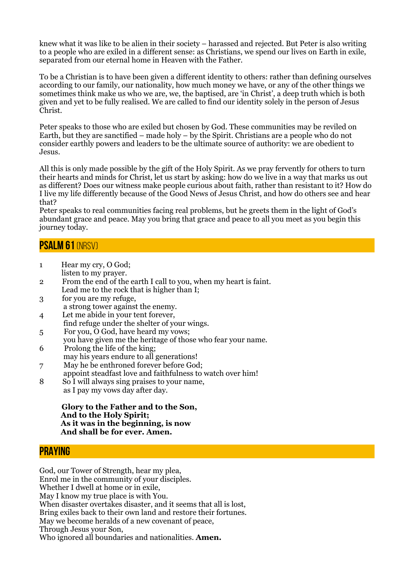knew what it was like to be alien in their society – harassed and rejected. But Peter is also writing to a people who are exiled in a different sense: as Christians, we spend our lives on Earth in exile, separated from our eternal home in Heaven with the Father.

To be a Christian is to have been given a different identity to others: rather than defining ourselves according to our family, our nationality, how much money we have, or any of the other things we sometimes think make us who we are, we, the baptised, are 'in Christ', a deep truth which is both given and yet to be fully realised. We are called to find our identity solely in the person of Jesus Christ.

Peter speaks to those who are exiled but chosen by God. These communities may be reviled on Earth, but they are sanctified – made holy – by the Spirit. Christians are a people who do not consider earthly powers and leaders to be the ultimate source of authority: we are obedient to Jesus.

All this is only made possible by the gift of the Holy Spirit. As we pray fervently for others to turn their hearts and minds for Christ, let us start by asking: how do we live in a way that marks us out as different? Does our witness make people curious about faith, rather than resistant to it? How do I live my life differently because of the Good News of Jesus Christ, and how do others see and hear that?

Peter speaks to real communities facing real problems, but he greets them in the light of God's abundant grace and peace. May you bring that grace and peace to all you meet as you begin this journey today.

#### **Psalm 61** (NRSV)

- 1 Hear my cry, O God; listen to my prayer.
- 2 From the end of the earth I call to you, when my heart is faint. Lead me to the rock that is higher than I;
- 3 for you are my refuge, a strong tower against the enemy.
- 4 Let me abide in your tent forever, find refuge under the shelter of your wings.
- 5 For you, O God, have heard my vows;
- you have given me the heritage of those who fear your name.
- 6 Prolong the life of the king; may his years endure to all generations!
- 7 May he be enthroned forever before God; appoint steadfast love and faithfulness to watch over him!
- 8 So I will always sing praises to your name, as I pay my vows day after day.

#### **Glory to the Father and to the Son, And to the Holy Spirit; As it was in the beginning, is now And shall be for ever. Amen.**

#### **PRAYING**

God, our Tower of Strength, hear my plea, Enrol me in the community of your disciples. Whether I dwell at home or in exile, May I know my true place is with You. When disaster overtakes disaster, and it seems that all is lost, Bring exiles back to their own land and restore their fortunes. May we become heralds of a new covenant of peace, Through Jesus your Son, Who ignored all boundaries and nationalities. **Amen.**